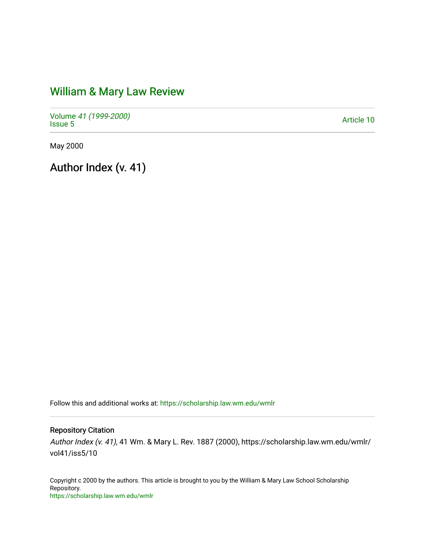# [William & Mary Law Review](https://scholarship.law.wm.edu/wmlr)

Volume [41 \(1999-2000\)](https://scholarship.law.wm.edu/wmlr/vol41)  Polarite 47 (1999-2000)<br>[Issue 5](https://scholarship.law.wm.edu/wmlr/vol41/iss5) Article 10

May 2000

Author Index (v. 41)

Follow this and additional works at: [https://scholarship.law.wm.edu/wmlr](https://scholarship.law.wm.edu/wmlr?utm_source=scholarship.law.wm.edu%2Fwmlr%2Fvol41%2Fiss5%2F10&utm_medium=PDF&utm_campaign=PDFCoverPages)

Repository Citation

Author Index (v. 41), 41 Wm. & Mary L. Rev. 1887 (2000), https://scholarship.law.wm.edu/wmlr/ vol41/iss5/10

Copyright c 2000 by the authors. This article is brought to you by the William & Mary Law School Scholarship Repository. <https://scholarship.law.wm.edu/wmlr>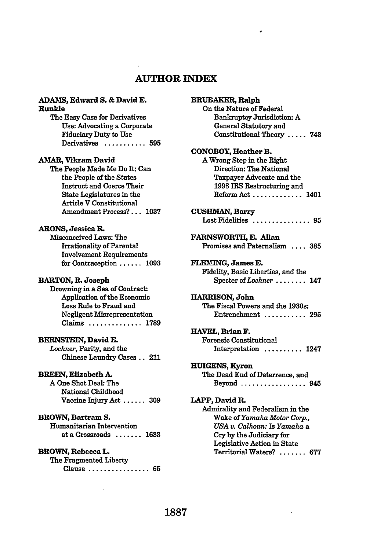# **AUTHOR INDEX**

#### **ADAMS,** Edward **S. &** David **E.** Runkle

The Easy Case for Derivatives Use: Advocating a Corporate Fiduciary Duty to Use Derivatives ........... **595**

#### **AMAR,** Vikram David

The People Made Me Do It: Can the People of the States Instruct and Coerce Their State Legislatures in the Article V Constitutional Amendment **Process?... 1037**

#### **ARONS,** Jessica **I.**

Misconceived Laws: The Irrationality of Parental Involvement Requirements for Contraception ...... **<sup>1093</sup>**

#### **BARTON, R.. Joseph**

Drowning in a Sea of Contract: Application of the Economic Loss Rule to Fraud and Negligent Misrepresentation Claims .............. 1789

#### **BERNSTEIN, David E.**

*Lochner,* Parity, and the Chinese Laundry Cases **..** 211

#### **BREEN, Elizabeth A.**

A One Shot Deal: The National Childhood Vaccine Injury Act **...... 309**

#### **BROWN, Bartram S.**

Humanitarian Intervention at a Crossroads ....... **<sup>1683</sup>**

### **BROWN, Rebecca L.**

The Fragmented Liberty Clause ................ **65**

| <b>BRUBAKER, Ralph</b>             |
|------------------------------------|
| On the Nature of Federal           |
| <b>Bankruptcy Jurisdiction: A</b>  |
| General Statutory and              |
| Constitutional Theory  743         |
| CONOBOY, Heather B.                |
| A Wrong Step in the Right          |
| Direction: The National            |
| Taxpayer Advocate and the          |
| 1998 IRS Restructuring and         |
| Reform Act<br>1401                 |
| <b>CUSHMAN, Barry</b>              |
| Lost Fidelities  95                |
| FARNSWORTH, E. Allan               |
| Promises and Paternalism  385      |
| FLEMING, James E.                  |
| Fidelity, Basic Liberties, and the |
| Specter of Lochner  147            |
| <b>HARRISON, John</b>              |
| The Fiscal Powers and the 1930s:   |
| Entrenchment  295                  |
| HAVEL, Brian F.                    |
| <b>Forensic Constitutional</b>     |
| Interpretation<br>$\ldots$ 1247    |
| <b>HUIGENS, Kyron</b>              |
| The Dead End of Deterrence, and    |
| Beyond  945                        |
| LAPP, David R.                     |
| Admirality and Federalism in the   |
| Wake of Yamaha Motor Corp.,        |
| USA v. Calhoun: Is Yamaha a        |
| Cry by the Judiciary for           |
| Legislative Action in State        |
| Territorial Waters?  677           |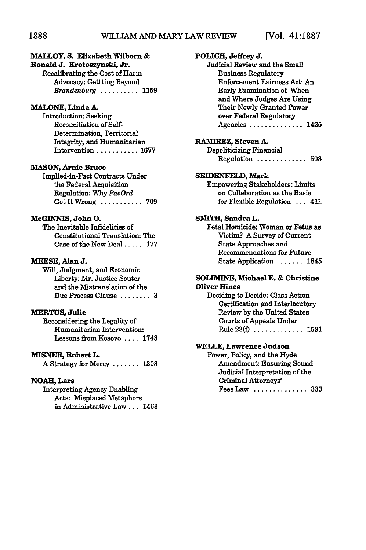## **MALLOY, S. Elizabeth Wilborn &**

**Ronald J. Krotoszynski, Jr.** Recalibrating the Cost of Harm Advocacy: Gettting Beyond *Brandenburg ..........* **<sup>1159</sup>**

#### **MALONE, Linda A.**

Introduction: Seeking Reconciliation of Self-Determination, Territorial Integrity, and Humanitarian Intervention **........... 1677**

#### **MASON, Arnie Bruce**

Implied-in-Fact Contracts Under the Federal Acquisition Regulation: **Why** *PacOrd* Got It Wrong **........... 709**

#### **McGINNIS, John 0.**

The Inevitable Infidelities of Constitutional Translation: The Case of the New Deal **..... 177**

#### **MEESE,** Alan **J.**

Will, Judgment, and Economic Liberty: Mr. Justice Souter and the Mistranslation of the Due Process Clause **........ 3**

#### **MERTUS,** Julie

Reconsidering the Legality of Humanitarian Intervention: Lessons from Kosovo **....** 1743

#### MISNER, Robert L.

**<sup>A</sup>**Strategy for Mercy **....... 1303**

#### **NOAH, Lars**

Interpreting Agency Enabling Acts: Misplaced Metaphors in Administrative **Law...** 1463

| POLICH, Jeffrey J.<br>Judicial Review and the Small<br><b>Business Regulatory</b><br><b>Enforcement Fairness Act: An</b> |
|--------------------------------------------------------------------------------------------------------------------------|
| Early Examination of When<br>and Where Judges Are Using<br>Their Newly Granted Power                                     |
| over Federal Regulatory<br>Agencies  1425                                                                                |
| <b>RAMIREZ, Steven A.</b><br><b>Depoliticizing Financial</b>                                                             |
| Regulation<br>$\ldots 503$                                                                                               |
| <b>SEIDENFELD, Mark</b>                                                                                                  |
| <b>Empowering Stakeholders: Limits</b><br>on Collaboration as the Basis                                                  |
| for Flexible Regulation  411                                                                                             |
|                                                                                                                          |
| SMITH, Sandra L.<br>Fetal Homicide: Woman or Fetus as                                                                    |
| Victim? A Survey of Current<br><b>State Approaches and</b>                                                               |
| <b>Recommendations for Future</b>                                                                                        |
| State Application  1845                                                                                                  |
| <b>SOLIMINE, Michael E. &amp; Christine</b><br><b>Oliver Hines</b>                                                       |
| Deciding to Decide: Class Action                                                                                         |
| Certification and Interlocutory                                                                                          |
| Review by the United States                                                                                              |
| <b>Courts of Appeals Under</b><br>Rule $23(f)$<br>-1531                                                                  |
|                                                                                                                          |
| <b>WELLE, Lawrence Judson</b>                                                                                            |
| Power, Policy, and the Hyde                                                                                              |
| <b>Amendment: Ensuring Sound</b>                                                                                         |
| Judicial Interpretation of the                                                                                           |
| Criminal Attorneys'<br>Fees Law<br>333<br>$\frac{1}{2}$                                                                  |
|                                                                                                                          |
|                                                                                                                          |